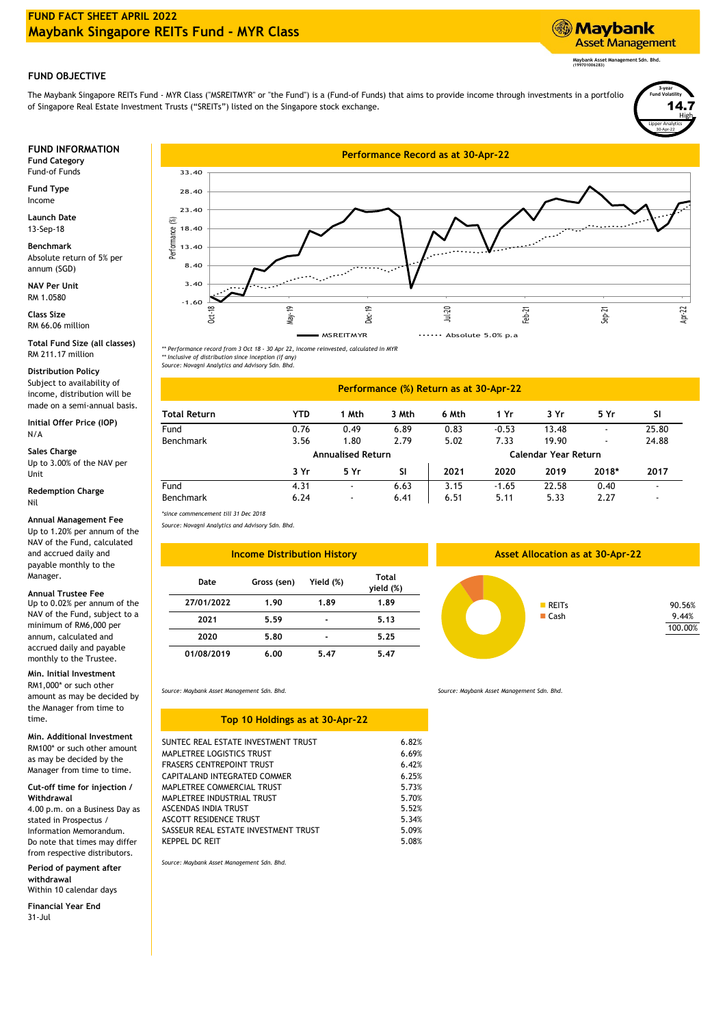# **FUND FACT SHEET APRIL 2022 Maybank Singapore REITs Fund - MYR Class**

# **Maybank Asset Management**

**Maybank Asset Management Sdn. Bhd. (199701006283)**

Lipper Analytics

30-Apr-22

High 14.7

**3-year Fund Volatility**

## **FUND OBJECTIVE**

The Maybank Singapore REITs Fund - MYR Class ("MSREITMYR" or "the Fund") is a (Fund-of Funds) that aims to provide income through investments in a portfolio of Singapore Real Estate Investment Trusts ("SREITs") listed on the Singapore stock exchange.

Fund-of Funds

**Fund Type** Income

**Launch Date** 13-Sep-18

**Benchmark** Absolute return of 5% per annum (SGD)

**NAV Per Unit** RM 1.0580

RM 66.06 million **Class Size**

**Total Fund Size (all classes)** RM 211.17 million

#### **Distribution Policy**

Subject to availability of income, distribution will be made on a semi-annual basis.

N/A **Initial Offer Price (IOP)**

**Sales Charge** Up to 3.00% of the NAV per Unit

**Redemption Charge** Nil

#### **Annual Management Fee**

Up to 1.20% per annum of the NAV of the Fund, calculated and accrued daily and payable monthly to the Manager.

**Annual Trustee Fee**

Up to 0.02% per annum of the NAV of the Fund, subject to a minimum of RM6,000 per annum, calculated and accrued daily and payable monthly to the Trustee.

### **Min. Initial Investment**

RM1,000\* or such other amount as may be decided by the Manager from time to time.

#### **Min. Additional Investment**

RM100\* or such other amount as may be decided by the Manager from time to time.

#### **Cut-off time for injection / Withdrawal**

4.00 p.m. on a Business Day as stated in Prospectus / Information Memorandum. Do note that times may differ from respective distributors.

**Period of payment after withdrawal**

Within 10 calendar days **Financial Year End**

31-Jul



*\*\* Performance record from 3 Oct 18 - 30 Apr 22, income reinvested, calculated in MYR \*\* Inclusive of distribution since inception (if any)*

*Source: Novagni Analytics and Advisory Sdn. Bhd.*

#### **2020**  $-1.65$ 5.11 Fund 4.31 - 6.63 Benchmark **3 Yr 5 Yr SI Annualised Return** 6.24 - 6.41 Benchmark 3.56 1.80 6.51 5.33 2.27 - **2019 2018\* 2017**  $22.58$   $0.40$ **2021** 3.15 Fund 0.76 0.49 6.89 0.83 -0.53 13.48 - 25.80 2.79 5.02 **Total Return YTD 1 Mth 3 Mth 6 Mth 1 Yr 3 Yr 5 Yr SI Performance (%) Return as at 30-Apr-22 Calendar Year Return** 7.33 19.90 - 24.88

*Source: Novagni Analytics and Advisory Sdn. Bhd. \*since commencement till 31 Dec 2018*

| <b>Income Distribution History</b> | As          |           |                           |  |
|------------------------------------|-------------|-----------|---------------------------|--|
| Date                               | Gross (sen) | Yield (%) | <b>Total</b><br>yield (%) |  |
| 27/01/2022                         | 1.90        | 1.89      | 1.89                      |  |
| 2021                               | 5.59        |           | 5.13                      |  |
| 2020                               | 5.80        |           | 5.25                      |  |
| 01/08/2019                         | 6.00        | 5.47      | 5.47                      |  |

# ■ Cash 9.44%

**REITS** 

**Asset Allocation as at 30-Apr-22**

100.00%

90.56%

*Source: Maybank Asset Management Sdn. Bhd.*

| 6.82% |
|-------|
| 6.69% |
| 6.42% |
| 6.25% |
| 5.73% |
| 5.70% |
| 5.52% |
| 5.34% |
| 5.09% |
| 5.08% |
|       |

*Source: Maybank Asset Management Sdn. Bhd.*

*Source: Maybank Asset Management Sdn. Bhd.*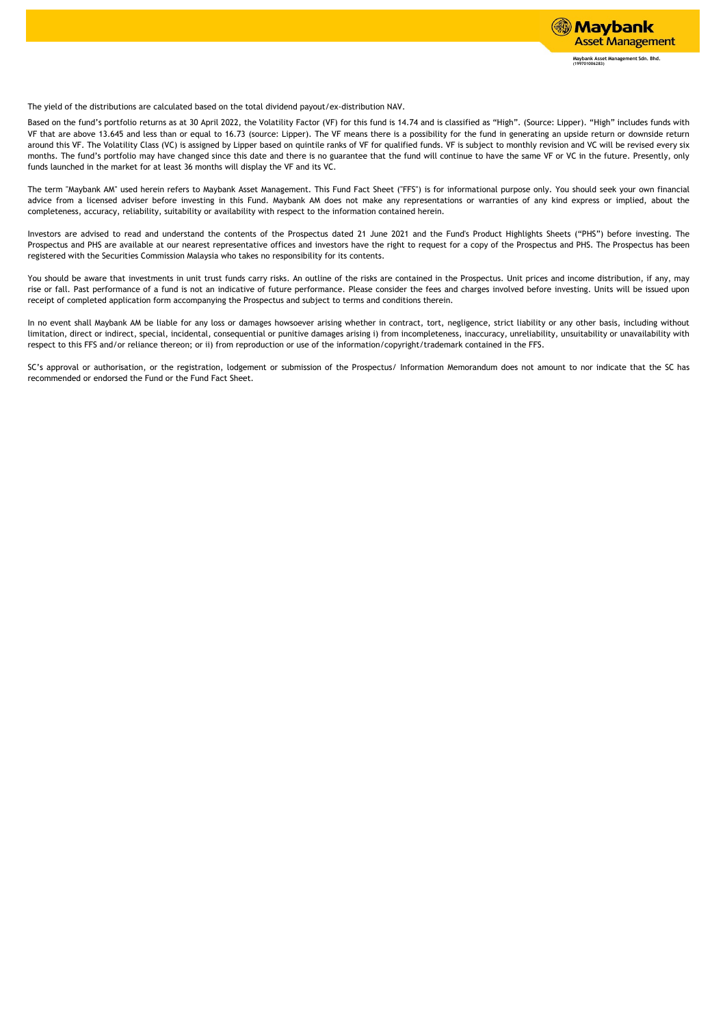

The yield of the distributions are calculated based on the total dividend payout/ex-distribution NAV.

Based on the fund's portfolio returns as at 30 April 2022, the Volatility Factor (VF) for this fund is 14.74 and is classified as "High". (Source: Lipper). "High" includes funds with VF that are above 13.645 and less than or equal to 16.73 (source: Lipper). The VF means there is a possibility for the fund in generating an upside return or downside return around this VF. The Volatility Class (VC) is assigned by Lipper based on quintile ranks of VF for qualified funds. VF is subject to monthly revision and VC will be revised every six months. The fund's portfolio may have changed since this date and there is no guarantee that the fund will continue to have the same VF or VC in the future. Presently, only funds launched in the market for at least 36 months will display the VF and its VC.

The term "Maybank AM" used herein refers to Maybank Asset Management. This Fund Fact Sheet ("FFS") is for informational purpose only. You should seek your own financial advice from a licensed adviser before investing in this Fund. Maybank AM does not make any representations or warranties of any kind express or implied, about the completeness, accuracy, reliability, suitability or availability with respect to the information contained herein.

Investors are advised to read and understand the contents of the Prospectus dated 21 June 2021 and the Fund's Product Highlights Sheets ("PHS") before investing. The Prospectus and PHS are available at our nearest representative offices and investors have the right to request for a copy of the Prospectus and PHS. The Prospectus has been registered with the Securities Commission Malaysia who takes no responsibility for its contents.

You should be aware that investments in unit trust funds carry risks. An outline of the risks are contained in the Prospectus. Unit prices and income distribution, if any, may rise or fall. Past performance of a fund is not an indicative of future performance. Please consider the fees and charges involved before investing. Units will be issued upon receipt of completed application form accompanying the Prospectus and subject to terms and conditions therein.

In no event shall Maybank AM be liable for any loss or damages howsoever arising whether in contract, tort, negligence, strict liability or any other basis, including without limitation, direct or indirect, special, incidental, consequential or punitive damages arising i) from incompleteness, inaccuracy, unreliability, unsuitability or unavailability with respect to this FFS and/or reliance thereon; or ii) from reproduction or use of the information/copyright/trademark contained in the FFS.

SC's approval or authorisation, or the registration, lodgement or submission of the Prospectus/ Information Memorandum does not amount to nor indicate that the SC has recommended or endorsed the Fund or the Fund Fact Sheet.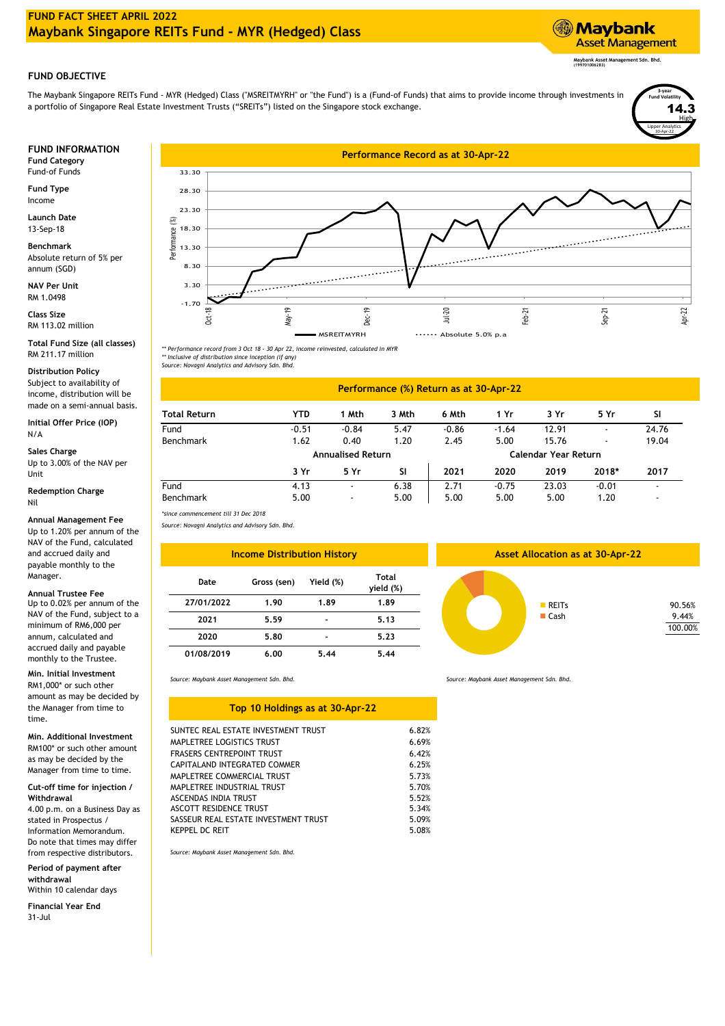# **FUND FACT SHEET APRIL 2022 Maybank Singapore REITs Fund - MYR (Hedged) Class**



**Maybank Asset Management Sdn. Bhd. (199701006283)**

Lipper Analytics

30-Apr-22

**High** 14.3

**3-year Fund Volatility**

## **FUND OBJECTIVE**

The Maybank Singapore REITs Fund - MYR (Hedged) Class ("MSREITMYRH" or "the Fund") is a (Fund-of Funds) that aims to provide income through investments in a portfolio of Singapore Real Estate Investment Trusts ("SREITs") listed on the Singapore stock exchange.

Fund-of Funds

**Fund Type** Income

**Launch Date** 13-Sep-18

**Benchmark** Absolute return of 5% per annum (SGD)

**NAV Per Unit** RM 1.0498

RM 113.02 million **Class Size**

**Total Fund Size (all classes)** RM 211.17 million

### **Distribution Policy**

Subject to availability of income, distribution will be made on a semi-annual basis.

**Initial Offer Price (IOP)** N/A

Up to 3.00% of the NAV per Unit

Nil **Redemption Charge**

#### **Annual Management Fee**

Up to 1.20% per annum of the NAV of the Fund, calculated and accrued daily and payable monthly to the Manager.

### **Min. Initial Investment**

RM1,000\* or such other amount as may be decided by the Manager from time to time.

**Min. Additional Investment** 

RM100\* or such other amount as may be decided by the Manager from time to time.

### **Cut-off time for injection / Withdrawal**

4.00 p.m. on a Business Day as stated in Prospectus / Information Memorandum. Do note that times may differ from respective distributors.

**Period of payment after withdrawal** Within 10 calendar days

**Financial Year End** 31-Jul



*\*\* Performance record from 3 Oct 18 - 30 Apr 22, income reinvested, calculated in MYR \*\* Inclusive of distribution since inception (if any)*

*Source: Novagni Analytics and Advisory Sdn. Bhd.*

#### **2021** 2.71 5.00 5.00 **3 Yr** Benchmark 5.00 Fund 5.47 **Sales Charge Annualised Return** Benchmark 1.62 0.40 1.20 2.45 5.00 15.76 **Calendar Year Return** 5.00 **5 Yr SI 2019**  $4.13$ **Performance (%) Return as at 30-Apr-22 Total Return YTD 1 Mth 3 Mth 6 Mth 1 Yr 3 Yr 5 Yr** -0.86 -1.64 12.91 **SI** Fund -0.51 -0.84 - 24.76 6.38 **2020**  $-0.75$ 5.00 5.00 1.20 - **2017** - - 19.04 **2018\***  $23.03 -0.01$

*Source: Novagni Analytics and Advisory Sdn. Bhd. \*since commencement till 31 Dec 2018*

| <b>TAY OF LITE FUILD, CATCULATED</b><br>and accrued daily and<br>payable monthly to the |            | <b>Income Distribution History</b> |                |                    | <b>Asset Allocation as at 30-Apr-22</b> |  |                            |  |
|-----------------------------------------------------------------------------------------|------------|------------------------------------|----------------|--------------------|-----------------------------------------|--|----------------------------|--|
| Manager.<br><b>Annual Trustee Fee</b>                                                   | Date       | Gross (sen)                        | Yield (%)      | Total<br>yield (%) |                                         |  |                            |  |
| Up to 0.02% per annum of the                                                            | 27/01/2022 | 1.90                               | 1.89           | 1.89               | RETs<br>$\blacksquare$ Cash             |  | 90.56%<br>9.44%<br>100.009 |  |
| NAV of the Fund, subject to a<br>minimum of RM6,000 per                                 | 2021       | 5.59                               | $\blacksquare$ | 5.13               |                                         |  |                            |  |
| annum, calculated and                                                                   | 2020       | 5.80                               | $\blacksquare$ | 5.23               |                                         |  |                            |  |
| accrued daily and payable<br>monthly to the Trustee.                                    | 01/08/2019 | 6.00                               | 5.44           | 5.44               |                                         |  |                            |  |



9.44% 100.00%

| SUNTEC REAL ESTATE INVESTMENT TRUST  | 6.82% |
|--------------------------------------|-------|
| MAPLETREE LOGISTICS TRUST            | 6.69% |
| FRASERS CENTREPOINT TRUST            | 6.42% |
| CAPITALAND INTEGRATED COMMER         | 6.25% |
| MAPLETREE COMMERCIAL TRUST           | 5.73% |
| MAPLETREE INDUSTRIAL TRUST           | 5.70% |
| ASCENDAS INDIA TRUST                 | 5.52% |
| ASCOTT RESIDENCE TRUST               | 5.34% |
| SASSEUR REAL ESTATE INVESTMENT TRUST | 5.09% |
| <b>KEPPEL DC REIT</b>                | 5.08% |

**Top 10 Holdings as at 30-Apr-22**

*Source: Maybank Asset Management Sdn. Bhd. Source: Maybank Asset Management Sdn. Bhd.*

*Source: Maybank Asset Management Sdn. Bhd.*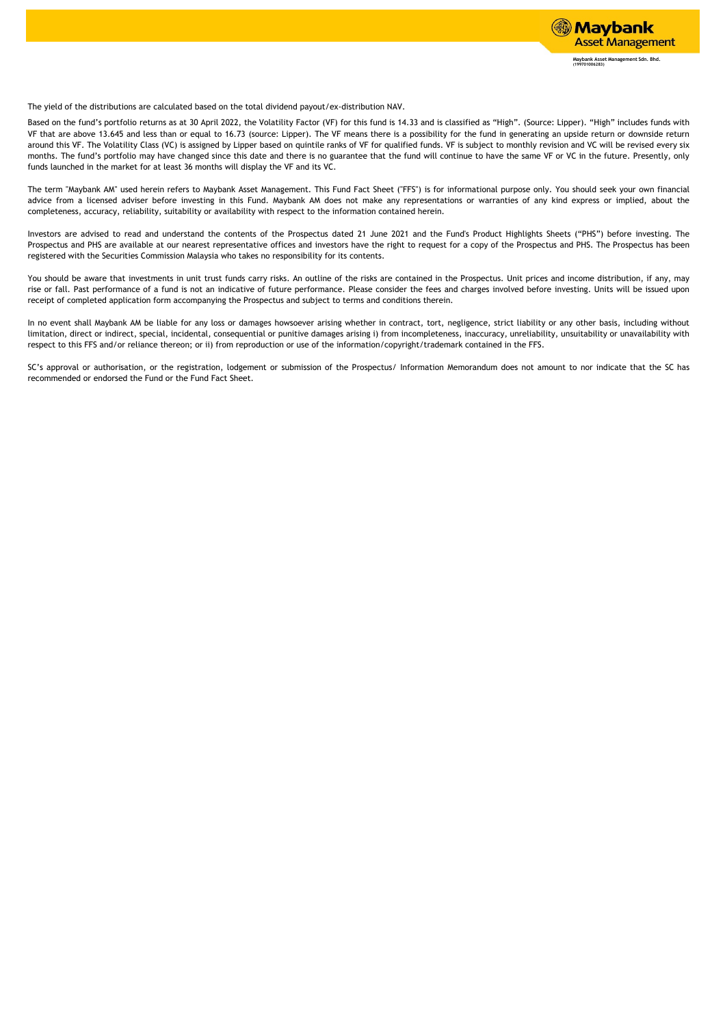

The yield of the distributions are calculated based on the total dividend payout/ex-distribution NAV.

Based on the fund's portfolio returns as at 30 April 2022, the Volatility Factor (VF) for this fund is 14.33 and is classified as "High". (Source: Lipper). "High" includes funds with VF that are above 13.645 and less than or equal to 16.73 (source: Lipper). The VF means there is a possibility for the fund in generating an upside return or downside return around this VF. The Volatility Class (VC) is assigned by Lipper based on quintile ranks of VF for qualified funds. VF is subject to monthly revision and VC will be revised every six months. The fund's portfolio may have changed since this date and there is no guarantee that the fund will continue to have the same VF or VC in the future. Presently, only funds launched in the market for at least 36 months will display the VF and its VC.

The term "Maybank AM" used herein refers to Maybank Asset Management. This Fund Fact Sheet ("FFS") is for informational purpose only. You should seek your own financial advice from a licensed adviser before investing in this Fund. Maybank AM does not make any representations or warranties of any kind express or implied, about the completeness, accuracy, reliability, suitability or availability with respect to the information contained herein.

Investors are advised to read and understand the contents of the Prospectus dated 21 June 2021 and the Fund's Product Highlights Sheets ("PHS") before investing. The Prospectus and PHS are available at our nearest representative offices and investors have the right to request for a copy of the Prospectus and PHS. The Prospectus has been registered with the Securities Commission Malaysia who takes no responsibility for its contents.

You should be aware that investments in unit trust funds carry risks. An outline of the risks are contained in the Prospectus. Unit prices and income distribution, if any, may rise or fall. Past performance of a fund is not an indicative of future performance. Please consider the fees and charges involved before investing. Units will be issued upon receipt of completed application form accompanying the Prospectus and subject to terms and conditions therein.

In no event shall Maybank AM be liable for any loss or damages howsoever arising whether in contract, tort, negligence, strict liability or any other basis, including without limitation, direct or indirect, special, incidental, consequential or punitive damages arising i) from incompleteness, inaccuracy, unreliability, unsuitability or unavailability with respect to this FFS and/or reliance thereon; or ii) from reproduction or use of the information/copyright/trademark contained in the FFS.

SC's approval or authorisation, or the registration, lodgement or submission of the Prospectus/ Information Memorandum does not amount to nor indicate that the SC has recommended or endorsed the Fund or the Fund Fact Sheet.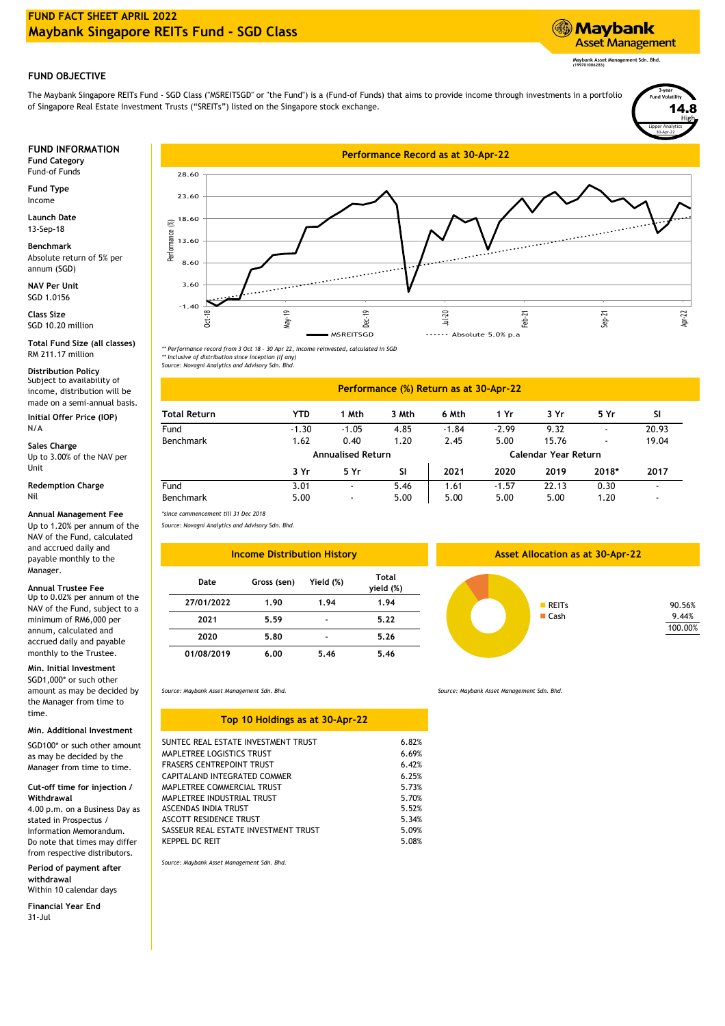# **FUND FACT SHEET APRIL 2022 Maybank Singapore REITs Fund - SGD Class**

# **Maybank Asset Management**

**Maybank Asset Management Sdn. Bhd. (199701006283)**

Lipper Analytics

30-Apr-22

High 14.8

**3-year Fund Volatility**

# **FUND OBJECTIVE**

The Maybank Singapore REITs Fund - SGD Class ("MSREITSGD" or "the Fund") is a (Fund-of Funds) that aims to provide income through investments in a portfolio of Singapore Real Estate Investment Trusts ("SREITs") listed on the Singapore stock exchange.

Fund-of Funds

**Fund Type** Income

**Launch Date** 13-Sep-18

**Benchmark** Absolute return of 5% per annum (SGD)

**NAV Per Unit** SGD 1.0156

SGD 10.20 million **Class Size**

**Total Fund Size (all classes)** RM 211.17 million

**Distribution Policy**<br>Subject to availability of income, distribution will be made on a semi-annual basis.

# Up to 3.00% of the NAV per

#### **Redemption Charge** Nil

### **Annual Management Fee**

Up to 1.20% per annum of the NAV of the Fund, calculated and accrued daily and payable monthly to the Manager.

Up to 0.02% per annum of the NAV of the Fund, subject to a minimum of RM6,000 per annum, calculated and accrued daily and payable monthly to the Trustee. **Annual Trustee Fee**

**Min. Initial Investment**

SGD1,000\* or such other amount as may be decided by the Manager from time to time.

### **Min. Additional Investment**

SGD100\* or such other amount as may be decided by the Manager from time to time.

#### **Cut-off time for injection / Withdrawal**

4.00 p.m. on a Business Day as stated in Prospectus / Information Memorandum. Do note that times may differ from respective distributors.

### **Period of payment after withdrawal**

Within 10 calendar days **Financial Year End**

31-Jul



*\*\* Performance record from 3 Oct 18 - 30 Apr 22, income reinvested, calculated in SGD \*\* Inclusive of distribution since inception (if any)*

*Source: Novagni Analytics and Advisory Sdn. Bhd.*

# **Performance (%) Return as at 30-Apr-22**

| Initial Offer Price (IOP)  | <b>Total Return</b>                  | YTD                      | Mth                      | 3 Mth | 6 Mth   | 1 Yr    | 3 Yr                 | 5 Yr  | SI    |  |  |
|----------------------------|--------------------------------------|--------------------------|--------------------------|-------|---------|---------|----------------------|-------|-------|--|--|
| N/A                        | Fund                                 | $-1.30$                  | $-1.05$                  | 4.85  | $-1.84$ | $-2.99$ | 9.32                 |       | 20.93 |  |  |
| Sales Charge               | Benchmark                            | 1.62                     | 0.40                     | 1.20  | 2.45    | 5.00    | 15.76                | -     | 19.04 |  |  |
| Up to 3.00% of the NAV per |                                      | <b>Annualised Return</b> |                          |       |         |         | Calendar Year Return |       |       |  |  |
| Unit                       |                                      | 3 Yr                     | 5 Yr                     | SI    | 2021    | 2020    | 2019                 | 2018* | 2017  |  |  |
| <b>Redemption Charge</b>   | Fund                                 | 3.01                     |                          | 5.46  | 1.61    | $-1.57$ | 22.13                | 0.30  |       |  |  |
| Nil                        | Benchmark                            | 5.00                     | $\overline{\phantom{a}}$ | 5.00  | 5.00    | 5.00    | 5.00                 | 1.20  |       |  |  |
| Annual Management Fee      | *since commencement till 31 Dec 2018 |                          |                          |       |         |         |                      |       |       |  |  |

*Source: Novagni Analytics and Advisory Sdn. Bhd.*

| <b>Income Distribution History</b> |             |           |                           |  |  |  |  |  |  |
|------------------------------------|-------------|-----------|---------------------------|--|--|--|--|--|--|
| Date                               | Gross (sen) | Yield (%) | <b>Total</b><br>yield (%) |  |  |  |  |  |  |
| 27/01/2022                         | 1.90        | 1.94      | 1.94                      |  |  |  |  |  |  |
| 2021                               | 5.59        |           | 5.22                      |  |  |  |  |  |  |
| 2020                               | 5.80        |           | 5.26                      |  |  |  |  |  |  |
| 01/08/2019                         | 6.00        | 5.46      | 5.46                      |  |  |  |  |  |  |

**Asset Allocation as at 30-Apr-22** 



*Source: Maybank Asset Management Sdn. Bhd.*

| Top 10 Holdings as at 30-Apr-22      |       |
|--------------------------------------|-------|
| SUNTEC REAL ESTATE INVESTMENT TRUST  | 6.82% |
| MAPLETREE LOGISTICS TRUST            | 6.69% |
| <b>FRASERS CENTREPOINT TRUST</b>     | 6.42% |
| CAPITALAND INTEGRATED COMMER         | 6.25% |
| MAPLETREE COMMERCIAL TRUST           | 5.73% |
| MAPLETREE INDUSTRIAL TRUST           | 5.70% |
| ASCENDAS INDIA TRUST                 | 5.52% |
| ASCOTT RESIDENCE TRUST               | 5.34% |
| SASSEUR REAL ESTATE INVESTMENT TRUST | 5.09% |
| KEPPEL DC REIT                       | 5.08% |
|                                      |       |

*Source: Maybank Asset Management Sdn. Bhd.*

*Source: Maybank Asset Management Sdn. Bhd.*